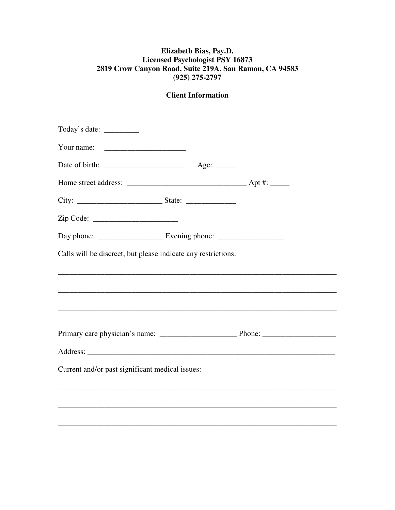## **Elizabeth Bias, Psy.D. Licensed Psychologist PSY 16873 2819 Crow Canyon Road, Suite 219A, San Ramon, CA 94583 (925) 275-2797**

| Calls will be discreet, but please indicate any restrictions: |  |  |
|---------------------------------------------------------------|--|--|
|                                                               |  |  |
|                                                               |  |  |
|                                                               |  |  |
|                                                               |  |  |
|                                                               |  |  |
|                                                               |  |  |
| Current and/or past significant medical issues:               |  |  |
|                                                               |  |  |
|                                                               |  |  |
|                                                               |  |  |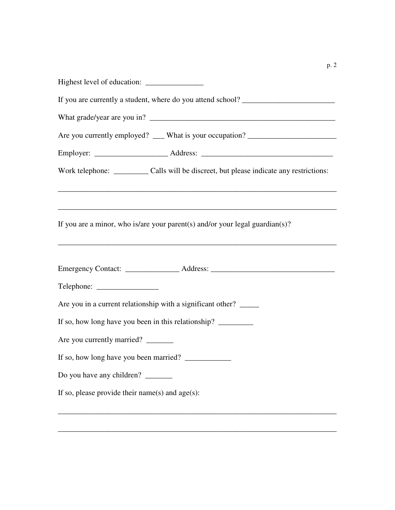| Are you currently employed? ___ What is your occupation? _______________________            |
|---------------------------------------------------------------------------------------------|
|                                                                                             |
| Work telephone: _____________ Calls will be discreet, but please indicate any restrictions: |
|                                                                                             |
| If you are a minor, who is/are your parent(s) and/or your legal guardian(s)?                |
| Emergency Contact: _______________________Address: ______________________________           |
|                                                                                             |
| Are you in a current relationship with a significant other?                                 |
| If so, how long have you been in this relationship? _____________________________           |
| Are you currently married? ______                                                           |
|                                                                                             |
| Do you have any children? _______                                                           |
| If so, please provide their name(s) and $age(s)$ :                                          |
|                                                                                             |

\_\_\_\_\_\_\_\_\_\_\_\_\_\_\_\_\_\_\_\_\_\_\_\_\_\_\_\_\_\_\_\_\_\_\_\_\_\_\_\_\_\_\_\_\_\_\_\_\_\_\_\_\_\_\_\_\_\_\_\_\_\_\_\_\_\_\_\_\_\_\_\_

p. 2